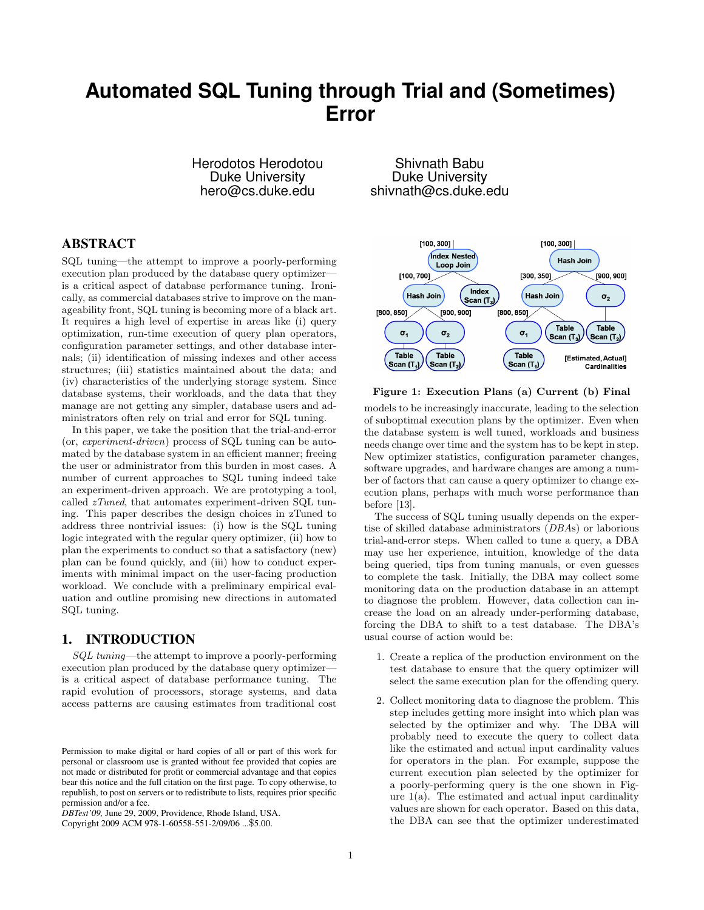# **Automated SQL Tuning through Trial and (Sometimes) Error**

Herodotos Herodotou Duke University hero@cs.duke.edu

# ABSTRACT

SQL tuning—the attempt to improve a poorly-performing execution plan produced by the database query optimizer is a critical aspect of database performance tuning. Ironically, as commercial databases strive to improve on the manageability front, SQL tuning is becoming more of a black art. It requires a high level of expertise in areas like (i) query optimization, run-time execution of query plan operators, configuration parameter settings, and other database internals; (ii) identification of missing indexes and other access structures; (iii) statistics maintained about the data; and (iv) characteristics of the underlying storage system. Since database systems, their workloads, and the data that they manage are not getting any simpler, database users and administrators often rely on trial and error for SQL tuning.

In this paper, we take the position that the trial-and-error (or, experiment-driven) process of SQL tuning can be automated by the database system in an efficient manner; freeing the user or administrator from this burden in most cases. A number of current approaches to SQL tuning indeed take an experiment-driven approach. We are prototyping a tool, called zTuned, that automates experiment-driven SQL tuning. This paper describes the design choices in zTuned to address three nontrivial issues: (i) how is the SQL tuning logic integrated with the regular query optimizer, (ii) how to plan the experiments to conduct so that a satisfactory (new) plan can be found quickly, and (iii) how to conduct experiments with minimal impact on the user-facing production workload. We conclude with a preliminary empirical evaluation and outline promising new directions in automated SQL tuning.

#### 1. INTRODUCTION

SQL tuning—the attempt to improve a poorly-performing execution plan produced by the database query optimizer is a critical aspect of database performance tuning. The rapid evolution of processors, storage systems, and data access patterns are causing estimates from traditional cost

Shivnath Babu Duke University shivnath@cs.duke.edu



Figure 1: Execution Plans (a) Current (b) Final

models to be increasingly inaccurate, leading to the selection of suboptimal execution plans by the optimizer. Even when the database system is well tuned, workloads and business needs change over time and the system has to be kept in step. New optimizer statistics, configuration parameter changes, software upgrades, and hardware changes are among a number of factors that can cause a query optimizer to change execution plans, perhaps with much worse performance than before [13].

The success of SQL tuning usually depends on the expertise of skilled database administrators (DBAs) or laborious trial-and-error steps. When called to tune a query, a DBA may use her experience, intuition, knowledge of the data being queried, tips from tuning manuals, or even guesses to complete the task. Initially, the DBA may collect some monitoring data on the production database in an attempt to diagnose the problem. However, data collection can increase the load on an already under-performing database, forcing the DBA to shift to a test database. The DBA's usual course of action would be:

- 1. Create a replica of the production environment on the test database to ensure that the query optimizer will select the same execution plan for the offending query.
- 2. Collect monitoring data to diagnose the problem. This step includes getting more insight into which plan was selected by the optimizer and why. The DBA will probably need to execute the query to collect data like the estimated and actual input cardinality values for operators in the plan. For example, suppose the current execution plan selected by the optimizer for a poorly-performing query is the one shown in Figure  $1(a)$ . The estimated and actual input cardinality values are shown for each operator. Based on this data, the DBA can see that the optimizer underestimated

Permission to make digital or hard copies of all or part of this work for personal or classroom use is granted without fee provided that copies are not made or distributed for profit or commercial advantage and that copies bear this notice and the full citation on the first page. To copy otherwise, to republish, to post on servers or to redistribute to lists, requires prior specific permission and/or a fee.

*DBTest'09,* June 29, 2009, Providence, Rhode Island, USA.

Copyright 2009 ACM 978-1-60558-551-2/09/06 ...\$5.00.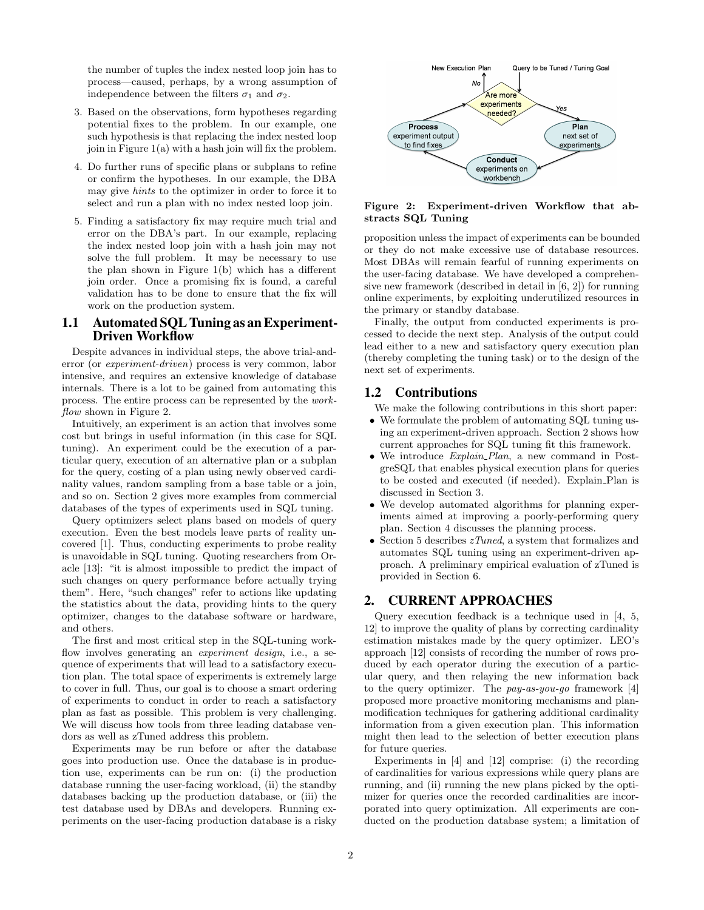the number of tuples the index nested loop join has to process—caused, perhaps, by a wrong assumption of independence between the filters  $\sigma_1$  and  $\sigma_2$ .

- 3. Based on the observations, form hypotheses regarding potential fixes to the problem. In our example, one such hypothesis is that replacing the index nested loop join in Figure 1(a) with a hash join will fix the problem.
- 4. Do further runs of specific plans or subplans to refine or confirm the hypotheses. In our example, the DBA may give hints to the optimizer in order to force it to select and run a plan with no index nested loop join.
- 5. Finding a satisfactory fix may require much trial and error on the DBA's part. In our example, replacing the index nested loop join with a hash join may not solve the full problem. It may be necessary to use the plan shown in Figure 1(b) which has a different join order. Once a promising fix is found, a careful validation has to be done to ensure that the fix will work on the production system.

### 1.1 Automated SQL Tuning as an Experiment-Driven Workflow

Despite advances in individual steps, the above trial-anderror (or experiment-driven) process is very common, labor intensive, and requires an extensive knowledge of database internals. There is a lot to be gained from automating this process. The entire process can be represented by the workflow shown in Figure 2.

Intuitively, an experiment is an action that involves some cost but brings in useful information (in this case for SQL tuning). An experiment could be the execution of a particular query, execution of an alternative plan or a subplan for the query, costing of a plan using newly observed cardinality values, random sampling from a base table or a join, and so on. Section 2 gives more examples from commercial databases of the types of experiments used in SQL tuning.

Query optimizers select plans based on models of query execution. Even the best models leave parts of reality uncovered [1]. Thus, conducting experiments to probe reality is unavoidable in SQL tuning. Quoting researchers from Oracle [13]: "it is almost impossible to predict the impact of such changes on query performance before actually trying them". Here, "such changes" refer to actions like updating the statistics about the data, providing hints to the query optimizer, changes to the database software or hardware, and others.

The first and most critical step in the SQL-tuning workflow involves generating an *experiment design*, i.e., a sequence of experiments that will lead to a satisfactory execution plan. The total space of experiments is extremely large to cover in full. Thus, our goal is to choose a smart ordering of experiments to conduct in order to reach a satisfactory plan as fast as possible. This problem is very challenging. We will discuss how tools from three leading database vendors as well as zTuned address this problem.

Experiments may be run before or after the database goes into production use. Once the database is in production use, experiments can be run on: (i) the production database running the user-facing workload, (ii) the standby databases backing up the production database, or (iii) the test database used by DBAs and developers. Running experiments on the user-facing production database is a risky



#### Figure 2: Experiment-driven Workflow that abstracts SQL Tuning

proposition unless the impact of experiments can be bounded or they do not make excessive use of database resources. Most DBAs will remain fearful of running experiments on the user-facing database. We have developed a comprehensive new framework (described in detail in [6, 2]) for running online experiments, by exploiting underutilized resources in the primary or standby database.

Finally, the output from conducted experiments is processed to decide the next step. Analysis of the output could lead either to a new and satisfactory query execution plan (thereby completing the tuning task) or to the design of the next set of experiments.

# 1.2 Contributions

We make the following contributions in this short paper:

- We formulate the problem of automating SQL tuning using an experiment-driven approach. Section 2 shows how current approaches for SQL tuning fit this framework.
- We introduce *Explain\_Plan*, a new command in PostgreSQL that enables physical execution plans for queries to be costed and executed (if needed). Explain Plan is discussed in Section 3.
- We develop automated algorithms for planning experiments aimed at improving a poorly-performing query plan. Section 4 discusses the planning process.
- Section 5 describes  $zTuned$ , a system that formalizes and automates SQL tuning using an experiment-driven approach. A preliminary empirical evaluation of zTuned is provided in Section 6.

# 2. CURRENT APPROACHES

Query execution feedback is a technique used in [4, 5, 12] to improve the quality of plans by correcting cardinality estimation mistakes made by the query optimizer. LEO's approach [12] consists of recording the number of rows produced by each operator during the execution of a particular query, and then relaying the new information back to the query optimizer. The pay-as-you-go framework [4] proposed more proactive monitoring mechanisms and planmodification techniques for gathering additional cardinality information from a given execution plan. This information might then lead to the selection of better execution plans for future queries.

Experiments in [4] and [12] comprise: (i) the recording of cardinalities for various expressions while query plans are running, and (ii) running the new plans picked by the optimizer for queries once the recorded cardinalities are incorporated into query optimization. All experiments are conducted on the production database system; a limitation of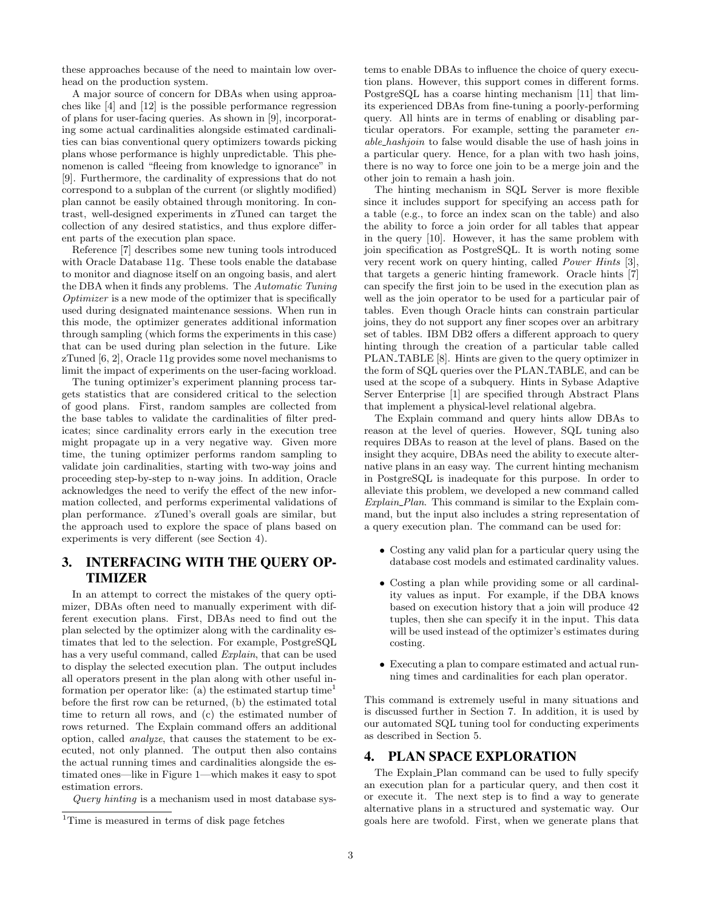these approaches because of the need to maintain low overhead on the production system.

A major source of concern for DBAs when using approaches like [4] and [12] is the possible performance regression of plans for user-facing queries. As shown in [9], incorporating some actual cardinalities alongside estimated cardinalities can bias conventional query optimizers towards picking plans whose performance is highly unpredictable. This phenomenon is called "fleeing from knowledge to ignorance" in [9]. Furthermore, the cardinality of expressions that do not correspond to a subplan of the current (or slightly modified) plan cannot be easily obtained through monitoring. In contrast, well-designed experiments in zTuned can target the collection of any desired statistics, and thus explore different parts of the execution plan space.

Reference [7] describes some new tuning tools introduced with Oracle Database 11g. These tools enable the database to monitor and diagnose itself on an ongoing basis, and alert the DBA when it finds any problems. The Automatic Tuning Optimizer is a new mode of the optimizer that is specifically used during designated maintenance sessions. When run in this mode, the optimizer generates additional information through sampling (which forms the experiments in this case) that can be used during plan selection in the future. Like zTuned [6, 2], Oracle 11g provides some novel mechanisms to limit the impact of experiments on the user-facing workload.

The tuning optimizer's experiment planning process targets statistics that are considered critical to the selection of good plans. First, random samples are collected from the base tables to validate the cardinalities of filter predicates; since cardinality errors early in the execution tree might propagate up in a very negative way. Given more time, the tuning optimizer performs random sampling to validate join cardinalities, starting with two-way joins and proceeding step-by-step to n-way joins. In addition, Oracle acknowledges the need to verify the effect of the new information collected, and performs experimental validations of plan performance. zTuned's overall goals are similar, but the approach used to explore the space of plans based on experiments is very different (see Section 4).

# 3. INTERFACING WITH THE QUERY OP-TIMIZER

In an attempt to correct the mistakes of the query optimizer, DBAs often need to manually experiment with different execution plans. First, DBAs need to find out the plan selected by the optimizer along with the cardinality estimates that led to the selection. For example, PostgreSQL has a very useful command, called *Explain*, that can be used to display the selected execution plan. The output includes all operators present in the plan along with other useful information per operator like: (a) the estimated startup time<sup>1</sup> before the first row can be returned, (b) the estimated total time to return all rows, and (c) the estimated number of rows returned. The Explain command offers an additional option, called analyze, that causes the statement to be executed, not only planned. The output then also contains the actual running times and cardinalities alongside the estimated ones—like in Figure 1—which makes it easy to spot estimation errors.

tems to enable DBAs to influence the choice of query execution plans. However, this support comes in different forms. PostgreSQL has a coarse hinting mechanism [11] that limits experienced DBAs from fine-tuning a poorly-performing query. All hints are in terms of enabling or disabling particular operators. For example, setting the parameter enable hashjoin to false would disable the use of hash joins in a particular query. Hence, for a plan with two hash joins, there is no way to force one join to be a merge join and the other join to remain a hash join.

The hinting mechanism in SQL Server is more flexible since it includes support for specifying an access path for a table (e.g., to force an index scan on the table) and also the ability to force a join order for all tables that appear in the query [10]. However, it has the same problem with join specification as PostgreSQL. It is worth noting some very recent work on query hinting, called Power Hints [3], that targets a generic hinting framework. Oracle hints [7] can specify the first join to be used in the execution plan as well as the join operator to be used for a particular pair of tables. Even though Oracle hints can constrain particular joins, they do not support any finer scopes over an arbitrary set of tables. IBM DB2 offers a different approach to query hinting through the creation of a particular table called PLAN\_TABLE [8]. Hints are given to the query optimizer in the form of SQL queries over the PLAN TABLE, and can be used at the scope of a subquery. Hints in Sybase Adaptive Server Enterprise [1] are specified through Abstract Plans that implement a physical-level relational algebra.

The Explain command and query hints allow DBAs to reason at the level of queries. However, SQL tuning also requires DBAs to reason at the level of plans. Based on the insight they acquire, DBAs need the ability to execute alternative plans in an easy way. The current hinting mechanism in PostgreSQL is inadequate for this purpose. In order to alleviate this problem, we developed a new command called Explain Plan. This command is similar to the Explain command, but the input also includes a string representation of a query execution plan. The command can be used for:

- Costing any valid plan for a particular query using the database cost models and estimated cardinality values.
- Costing a plan while providing some or all cardinality values as input. For example, if the DBA knows based on execution history that a join will produce 42 tuples, then she can specify it in the input. This data will be used instead of the optimizer's estimates during costing.
- Executing a plan to compare estimated and actual running times and cardinalities for each plan operator.

This command is extremely useful in many situations and is discussed further in Section 7. In addition, it is used by our automated SQL tuning tool for conducting experiments as described in Section 5.

#### 4. PLAN SPACE EXPLORATION

The Explain Plan command can be used to fully specify an execution plan for a particular query, and then cost it or execute it. The next step is to find a way to generate alternative plans in a structured and systematic way. Our goals here are twofold. First, when we generate plans that

Query hinting is a mechanism used in most database sys-

<sup>&</sup>lt;sup>1</sup>Time is measured in terms of disk page fetches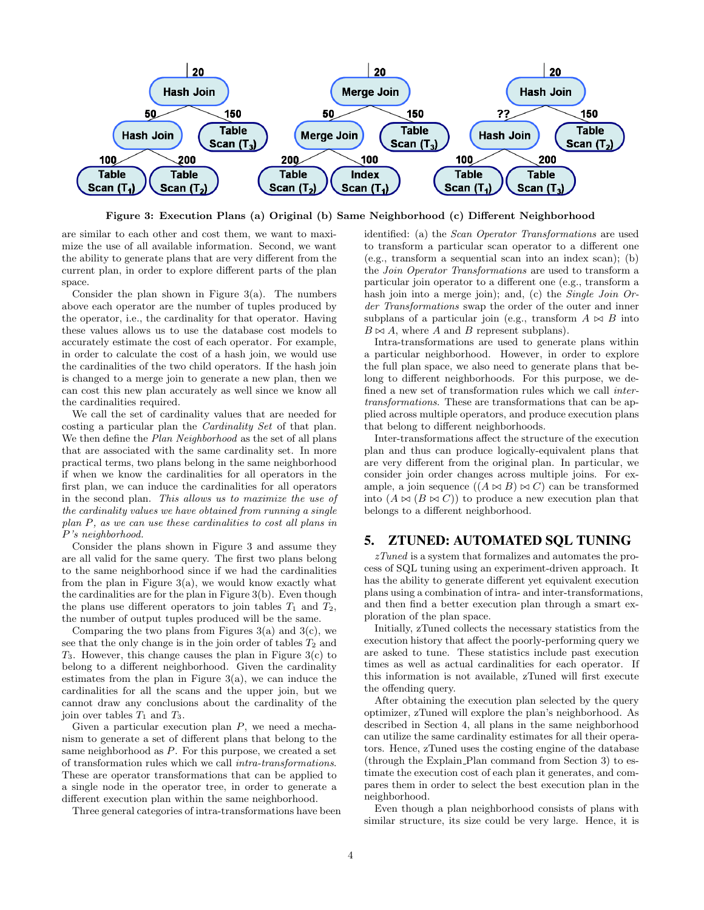

Figure 3: Execution Plans (a) Original (b) Same Neighborhood (c) Different Neighborhood

are similar to each other and cost them, we want to maximize the use of all available information. Second, we want the ability to generate plans that are very different from the current plan, in order to explore different parts of the plan space.

Consider the plan shown in Figure  $3(a)$ . The numbers above each operator are the number of tuples produced by the operator, i.e., the cardinality for that operator. Having these values allows us to use the database cost models to accurately estimate the cost of each operator. For example, in order to calculate the cost of a hash join, we would use the cardinalities of the two child operators. If the hash join is changed to a merge join to generate a new plan, then we can cost this new plan accurately as well since we know all the cardinalities required.

We call the set of cardinality values that are needed for costing a particular plan the Cardinality Set of that plan. We then define the *Plan Neighborhood* as the set of all plans that are associated with the same cardinality set. In more practical terms, two plans belong in the same neighborhood if when we know the cardinalities for all operators in the first plan, we can induce the cardinalities for all operators in the second plan. This allows us to maximize the use of the cardinality values we have obtained from running a single plan P, as we can use these cardinalities to cost all plans in P's neighborhood.

Consider the plans shown in Figure 3 and assume they are all valid for the same query. The first two plans belong to the same neighborhood since if we had the cardinalities from the plan in Figure  $3(a)$ , we would know exactly what the cardinalities are for the plan in Figure 3(b). Even though the plans use different operators to join tables  $T_1$  and  $T_2$ , the number of output tuples produced will be the same.

Comparing the two plans from Figures  $3(a)$  and  $3(c)$ , we see that the only change is in the join order of tables  $T_2$  and  $T_3$ . However, this change causes the plan in Figure 3(c) to belong to a different neighborhood. Given the cardinality estimates from the plan in Figure  $3(a)$ , we can induce the cardinalities for all the scans and the upper join, but we cannot draw any conclusions about the cardinality of the join over tables  $T_1$  and  $T_3$ .

Given a particular execution plan  $P$ , we need a mechanism to generate a set of different plans that belong to the same neighborhood as P. For this purpose, we created a set of transformation rules which we call intra-transformations. These are operator transformations that can be applied to a single node in the operator tree, in order to generate a different execution plan within the same neighborhood.

Three general categories of intra-transformations have been

identified: (a) the Scan Operator Transformations are used to transform a particular scan operator to a different one (e.g., transform a sequential scan into an index scan); (b) the Join Operator Transformations are used to transform a particular join operator to a different one (e.g., transform a hash join into a merge join); and, (c) the *Single Join Or*der Transformations swap the order of the outer and inner subplans of a particular join (e.g., transform  $A \bowtie B$  into  $B \bowtie A$ , where A and B represent subplans).

Intra-transformations are used to generate plans within a particular neighborhood. However, in order to explore the full plan space, we also need to generate plans that belong to different neighborhoods. For this purpose, we defined a new set of transformation rules which we call intertransformations. These are transformations that can be applied across multiple operators, and produce execution plans that belong to different neighborhoods.

Inter-transformations affect the structure of the execution plan and thus can produce logically-equivalent plans that are very different from the original plan. In particular, we consider join order changes across multiple joins. For example, a join sequence  $((A \bowtie B) \bowtie C)$  can be transformed into  $(A \bowtie (B \bowtie C))$  to produce a new execution plan that belongs to a different neighborhood.

# 5. ZTUNED: AUTOMATED SQL TUNING

zTuned is a system that formalizes and automates the process of SQL tuning using an experiment-driven approach. It has the ability to generate different yet equivalent execution plans using a combination of intra- and inter-transformations, and then find a better execution plan through a smart exploration of the plan space.

Initially, zTuned collects the necessary statistics from the execution history that affect the poorly-performing query we are asked to tune. These statistics include past execution times as well as actual cardinalities for each operator. If this information is not available, zTuned will first execute the offending query.

After obtaining the execution plan selected by the query optimizer, zTuned will explore the plan's neighborhood. As described in Section 4, all plans in the same neighborhood can utilize the same cardinality estimates for all their operators. Hence, zTuned uses the costing engine of the database (through the Explain Plan command from Section 3) to estimate the execution cost of each plan it generates, and compares them in order to select the best execution plan in the neighborhood.

Even though a plan neighborhood consists of plans with similar structure, its size could be very large. Hence, it is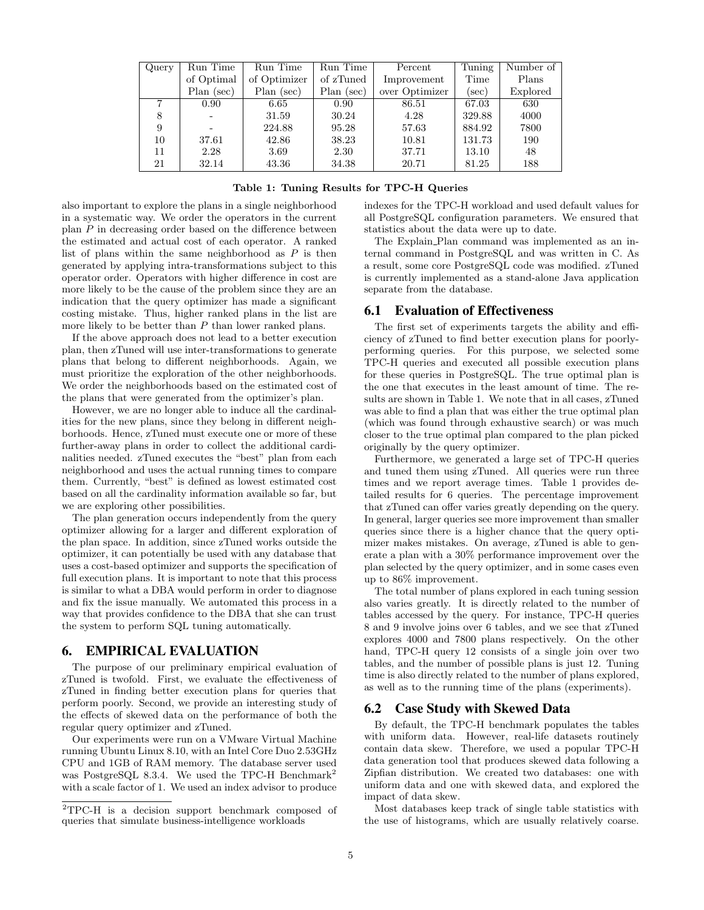| Query | Run Time       | Run Time     | Run Time   | Percent        | Tuning | Number of |
|-------|----------------|--------------|------------|----------------|--------|-----------|
|       | of Optimal     | of Optimizer | of zTuned  | Improvement    | Time   | Plans     |
|       | Plan (sec)     | $Plan$ (sec) | Plan (sec) | over Optimizer | (sec)  | Explored  |
|       | $0.90^{\circ}$ | 6.65         | 0.90       | 86.51          | 67.03  | 630       |
| 8     |                | 31.59        | 30.24      | 4.28           | 329.88 | 4000      |
| 9     |                | 224.88       | 95.28      | 57.63          | 884.92 | 7800      |
| 10    | 37.61          | 42.86        | 38.23      | 10.81          | 131.73 | 190       |
| 11    | 2.28           | 3.69         | 2.30       | 37.71          | 13.10  | 48        |
| 21    | 32.14          | 43.36        | 34.38      | 20.71          | 81.25  | 188       |

also important to explore the plans in a single neighborhood in a systematic way. We order the operators in the current plan P in decreasing order based on the difference between the estimated and actual cost of each operator. A ranked list of plans within the same neighborhood as  $P$  is then generated by applying intra-transformations subject to this operator order. Operators with higher difference in cost are more likely to be the cause of the problem since they are an indication that the query optimizer has made a significant costing mistake. Thus, higher ranked plans in the list are more likely to be better than  $P$  than lower ranked plans.

If the above approach does not lead to a better execution plan, then zTuned will use inter-transformations to generate plans that belong to different neighborhoods. Again, we must prioritize the exploration of the other neighborhoods. We order the neighborhoods based on the estimated cost of the plans that were generated from the optimizer's plan.

However, we are no longer able to induce all the cardinalities for the new plans, since they belong in different neighborhoods. Hence, zTuned must execute one or more of these further-away plans in order to collect the additional cardinalities needed. zTuned executes the "best" plan from each neighborhood and uses the actual running times to compare them. Currently, "best" is defined as lowest estimated cost based on all the cardinality information available so far, but we are exploring other possibilities.

The plan generation occurs independently from the query optimizer allowing for a larger and different exploration of the plan space. In addition, since zTuned works outside the optimizer, it can potentially be used with any database that uses a cost-based optimizer and supports the specification of full execution plans. It is important to note that this process is similar to what a DBA would perform in order to diagnose and fix the issue manually. We automated this process in a way that provides confidence to the DBA that she can trust the system to perform SQL tuning automatically.

### 6. EMPIRICAL EVALUATION

The purpose of our preliminary empirical evaluation of zTuned is twofold. First, we evaluate the effectiveness of zTuned in finding better execution plans for queries that perform poorly. Second, we provide an interesting study of the effects of skewed data on the performance of both the regular query optimizer and zTuned.

Our experiments were run on a VMware Virtual Machine running Ubuntu Linux 8.10, with an Intel Core Duo 2.53GHz CPU and 1GB of RAM memory. The database server used was PostgreSQL 8.3.4. We used the TPC-H Benchmark<sup>2</sup> with a scale factor of 1. We used an index advisor to produce indexes for the TPC-H workload and used default values for all PostgreSQL configuration parameters. We ensured that statistics about the data were up to date.

The Explain Plan command was implemented as an internal command in PostgreSQL and was written in C. As a result, some core PostgreSQL code was modified. zTuned is currently implemented as a stand-alone Java application separate from the database.

#### 6.1 Evaluation of Effectiveness

The first set of experiments targets the ability and efficiency of zTuned to find better execution plans for poorlyperforming queries. For this purpose, we selected some TPC-H queries and executed all possible execution plans for these queries in PostgreSQL. The true optimal plan is the one that executes in the least amount of time. The results are shown in Table 1. We note that in all cases, zTuned was able to find a plan that was either the true optimal plan (which was found through exhaustive search) or was much closer to the true optimal plan compared to the plan picked originally by the query optimizer.

Furthermore, we generated a large set of TPC-H queries and tuned them using zTuned. All queries were run three times and we report average times. Table 1 provides detailed results for 6 queries. The percentage improvement that zTuned can offer varies greatly depending on the query. In general, larger queries see more improvement than smaller queries since there is a higher chance that the query optimizer makes mistakes. On average, zTuned is able to generate a plan with a 30% performance improvement over the plan selected by the query optimizer, and in some cases even up to 86% improvement.

The total number of plans explored in each tuning session also varies greatly. It is directly related to the number of tables accessed by the query. For instance, TPC-H queries 8 and 9 involve joins over 6 tables, and we see that zTuned explores 4000 and 7800 plans respectively. On the other hand, TPC-H query 12 consists of a single join over two tables, and the number of possible plans is just 12. Tuning time is also directly related to the number of plans explored, as well as to the running time of the plans (experiments).

#### 6.2 Case Study with Skewed Data

By default, the TPC-H benchmark populates the tables with uniform data. However, real-life datasets routinely contain data skew. Therefore, we used a popular TPC-H data generation tool that produces skewed data following a Zipfian distribution. We created two databases: one with uniform data and one with skewed data, and explored the impact of data skew.

Most databases keep track of single table statistics with the use of histograms, which are usually relatively coarse.

<sup>2</sup>TPC-H is a decision support benchmark composed of queries that simulate business-intelligence workloads